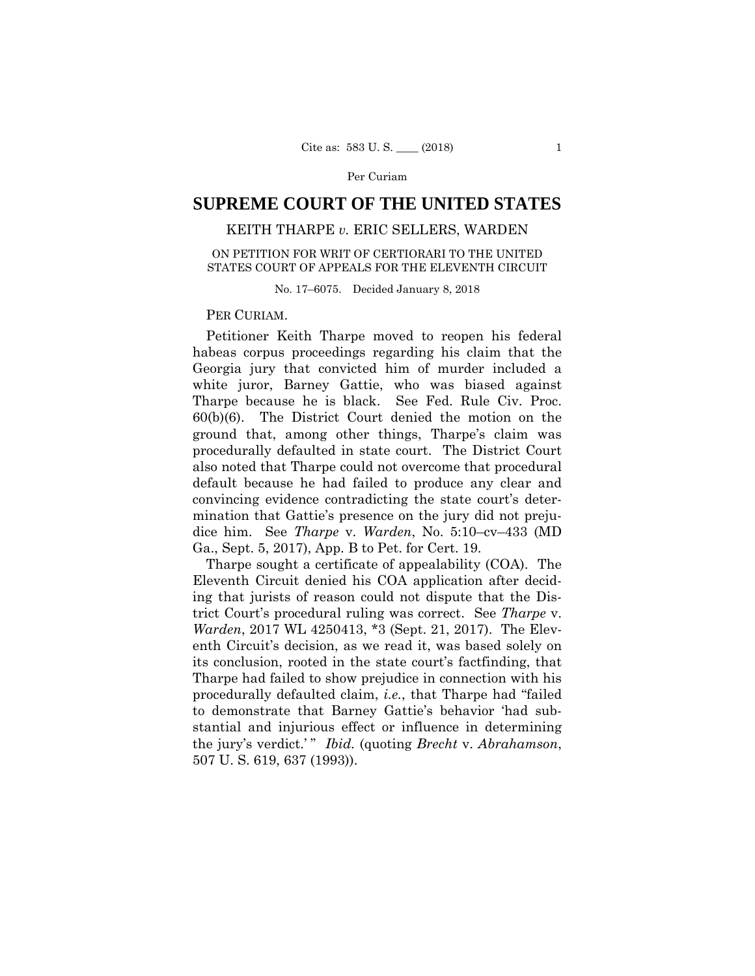#### Per Curiam

# **SUPREME COURT OF THE UNITED STATES**

## KEITH THARPE *v.* ERIC SELLERS, WARDEN

## ON PETITION FOR WRIT OF CERTIORARI TO THE UNITED STATES COURT OF APPEALS FOR THE ELEVENTH CIRCUIT

No. 17–6075. Decided January 8, 2018

## PER CURIAM.

Petitioner Keith Tharpe moved to reopen his federal habeas corpus proceedings regarding his claim that the Georgia jury that convicted him of murder included a white juror, Barney Gattie, who was biased against Tharpe because he is black. See Fed. Rule Civ. Proc. 60(b)(6). The District Court denied the motion on the ground that, among other things, Tharpe's claim was procedurally defaulted in state court. The District Court also noted that Tharpe could not overcome that procedural default because he had failed to produce any clear and convincing evidence contradicting the state court's determination that Gattie's presence on the jury did not prejudice him. See *Tharpe* v. *Warden*, No. 5:10–cv–433 (MD Ga., Sept. 5, 2017), App. B to Pet. for Cert. 19.

 the jury's verdict.' " *Ibid.* (quoting *Brecht* v. *Abrahamson*, Tharpe sought a certificate of appealability (COA). The Eleventh Circuit denied his COA application after deciding that jurists of reason could not dispute that the District Court's procedural ruling was correct. See *Tharpe* v. *Warden*, 2017 WL 4250413, \*3 (Sept. 21, 2017). The Eleventh Circuit's decision, as we read it, was based solely on its conclusion, rooted in the state court's factfinding, that Tharpe had failed to show prejudice in connection with his procedurally defaulted claim, *i.e.*, that Tharpe had "failed to demonstrate that Barney Gattie's behavior 'had substantial and injurious effect or influence in determining 507 U. S. 619, 637 (1993)).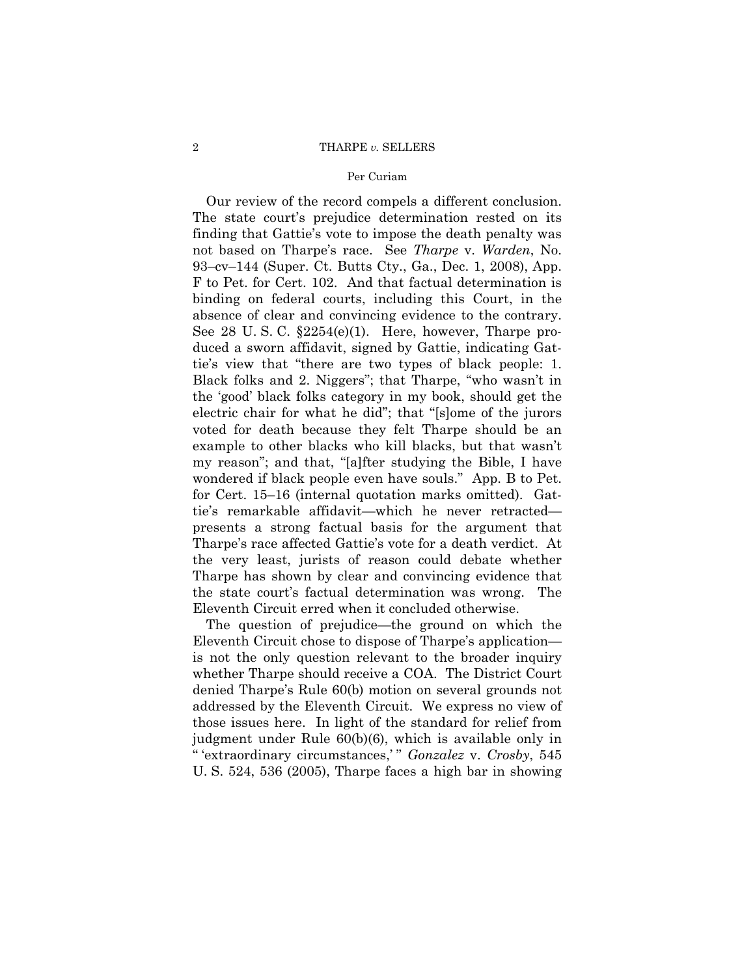#### Per Curiam

Our review of the record compels a different conclusion. The state court's prejudice determination rested on its finding that Gattie's vote to impose the death penalty was not based on Tharpe's race. See *Tharpe* v. *Warden*, No. 93–cv–144 (Super. Ct. Butts Cty., Ga., Dec. 1, 2008), App. F to Pet. for Cert. 102. And that factual determination is binding on federal courts, including this Court, in the absence of clear and convincing evidence to the contrary. See 28 U.S.C.  $$2254(e)(1)$ . Here, however, Tharpe produced a sworn affidavit, signed by Gattie, indicating Gattie's view that "there are two types of black people: 1. Black folks and 2. Niggers"; that Tharpe, "who wasn't in the 'good' black folks category in my book, should get the electric chair for what he did"; that "[s]ome of the jurors voted for death because they felt Tharpe should be an example to other blacks who kill blacks, but that wasn't my reason"; and that, "[a]fter studying the Bible, I have wondered if black people even have souls." App. B to Pet. for Cert. 15–16 (internal quotation marks omitted). Gattie's remarkable affidavit—which he never retracted presents a strong factual basis for the argument that Tharpe's race affected Gattie's vote for a death verdict. At the very least, jurists of reason could debate whether Tharpe has shown by clear and convincing evidence that the state court's factual determination was wrong. The Eleventh Circuit erred when it concluded otherwise.

The question of prejudice—the ground on which the Eleventh Circuit chose to dispose of Tharpe's application is not the only question relevant to the broader inquiry whether Tharpe should receive a COA. The District Court denied Tharpe's Rule 60(b) motion on several grounds not addressed by the Eleventh Circuit. We express no view of those issues here. In light of the standard for relief from judgment under Rule 60(b)(6), which is available only in " 'extraordinary circumstances,' " *Gonzalez* v. *Crosby*, 545 U. S. 524, 536 (2005), Tharpe faces a high bar in showing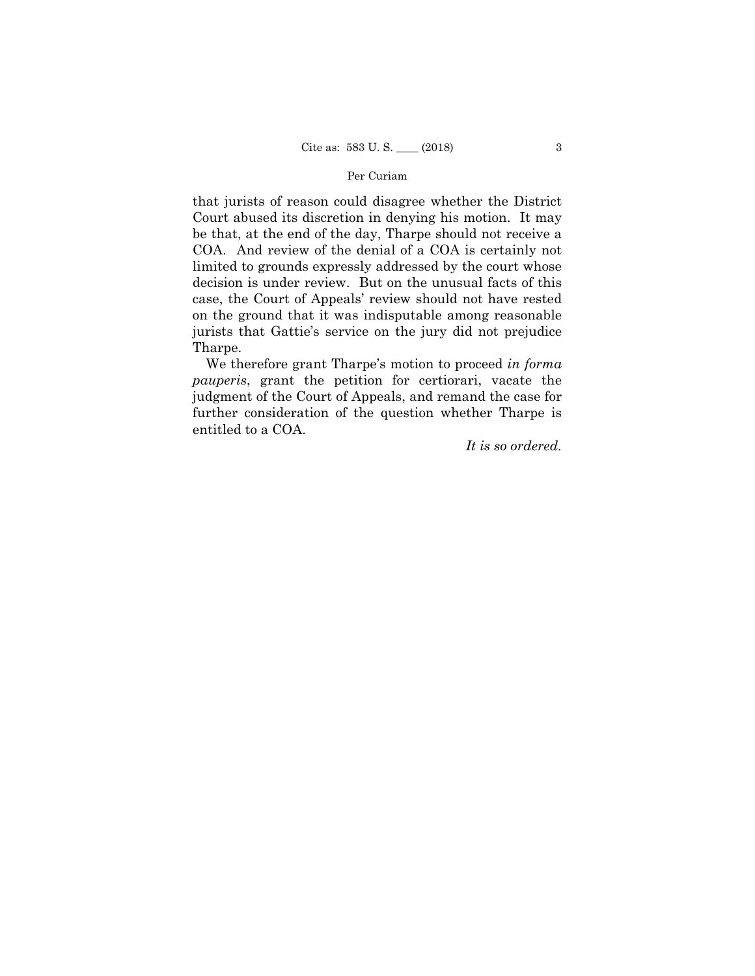## Per Curiam

that jurists of reason could disagree whether the District Court abused its discretion in denying his motion. It may be that, at the end of the day, Tharpe should not receive a COA. And review of the denial of a COA is certainly not limited to grounds expressly addressed by the court whose decision is under review. But on the unusual facts of this case, the Court of Appeals' review should not have rested on the ground that it was indisputable among reasonable jurists that Gattie's service on the jury did not prejudice Tharpe.

We therefore grant Tharpe's motion to proceed *in forma pauperis*, grant the petition for certiorari, vacate the judgment of the Court of Appeals, and remand the case for further consideration of the question whether Tharpe is entitled to a COA.

*It is so ordered.*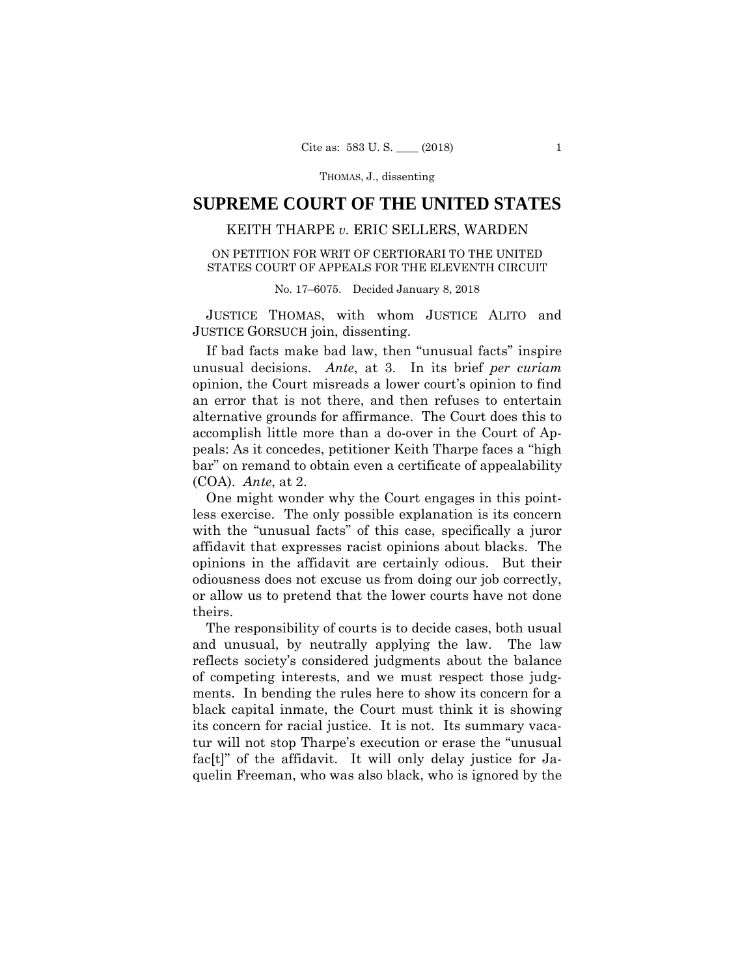# **SUPREME COURT OF THE UNITED STATES**

## KEITH THARPE *v.* ERIC SELLERS, WARDEN

## ON PETITION FOR WRIT OF CERTIORARI TO THE UNITED STATES COURT OF APPEALS FOR THE ELEVENTH CIRCUIT

#### No. 17–6075. Decided January 8, 2018

JUSTICE THOMAS, with whom JUSTICE ALITO and JUSTICE GORSUCH join, dissenting.

If bad facts make bad law, then "unusual facts" inspire unusual decisions. *Ante*, at 3. In its brief *per curiam*  opinion, the Court misreads a lower court's opinion to find an error that is not there, and then refuses to entertain alternative grounds for affirmance. The Court does this to accomplish little more than a do-over in the Court of Appeals: As it concedes, petitioner Keith Tharpe faces a "high bar" on remand to obtain even a certificate of appealability (COA). *Ante*, at 2.

One might wonder why the Court engages in this pointless exercise. The only possible explanation is its concern with the "unusual facts" of this case, specifically a juror affidavit that expresses racist opinions about blacks. The opinions in the affidavit are certainly odious. But their odiousness does not excuse us from doing our job correctly, or allow us to pretend that the lower courts have not done theirs.

The responsibility of courts is to decide cases, both usual and unusual, by neutrally applying the law. The law reflects society's considered judgments about the balance of competing interests, and we must respect those judgments. In bending the rules here to show its concern for a black capital inmate, the Court must think it is showing its concern for racial justice. It is not. Its summary vacatur will not stop Tharpe's execution or erase the "unusual fac<sup>[t]</sup>" of the affidavit. It will only delay justice for Jaquelin Freeman, who was also black, who is ignored by the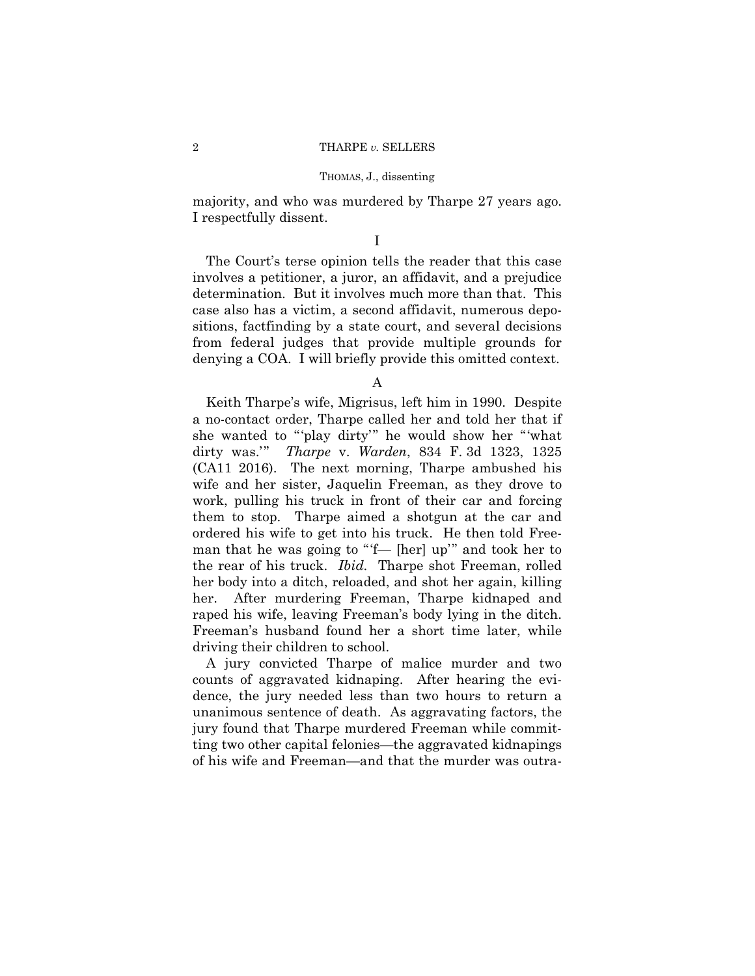majority, and who was murdered by Tharpe 27 years ago. I respectfully dissent.

## I

The Court's terse opinion tells the reader that this case involves a petitioner, a juror, an affidavit, and a prejudice determination. But it involves much more than that. This case also has a victim, a second affidavit, numerous depositions, factfinding by a state court, and several decisions from federal judges that provide multiple grounds for denying a COA. I will briefly provide this omitted context.

A

 the rear of his truck. *Ibid.* Tharpe shot Freeman, rolled Keith Tharpe's wife, Migrisus, left him in 1990. Despite a no-contact order, Tharpe called her and told her that if she wanted to "'play dirty'" he would show her "'what dirty was.'" *Tharpe* v. *Warden*, 834 F. 3d 1323, 1325 (CA11 2016). The next morning, Tharpe ambushed his wife and her sister, Jaquelin Freeman, as they drove to work, pulling his truck in front of their car and forcing them to stop. Tharpe aimed a shotgun at the car and ordered his wife to get into his truck. He then told Freeman that he was going to "'f— [her] up'" and took her to her body into a ditch, reloaded, and shot her again, killing her. After murdering Freeman, Tharpe kidnaped and raped his wife, leaving Freeman's body lying in the ditch. Freeman's husband found her a short time later, while driving their children to school.

A jury convicted Tharpe of malice murder and two counts of aggravated kidnaping. After hearing the evidence, the jury needed less than two hours to return a unanimous sentence of death. As aggravating factors, the jury found that Tharpe murdered Freeman while committing two other capital felonies—the aggravated kidnapings of his wife and Freeman—and that the murder was outra-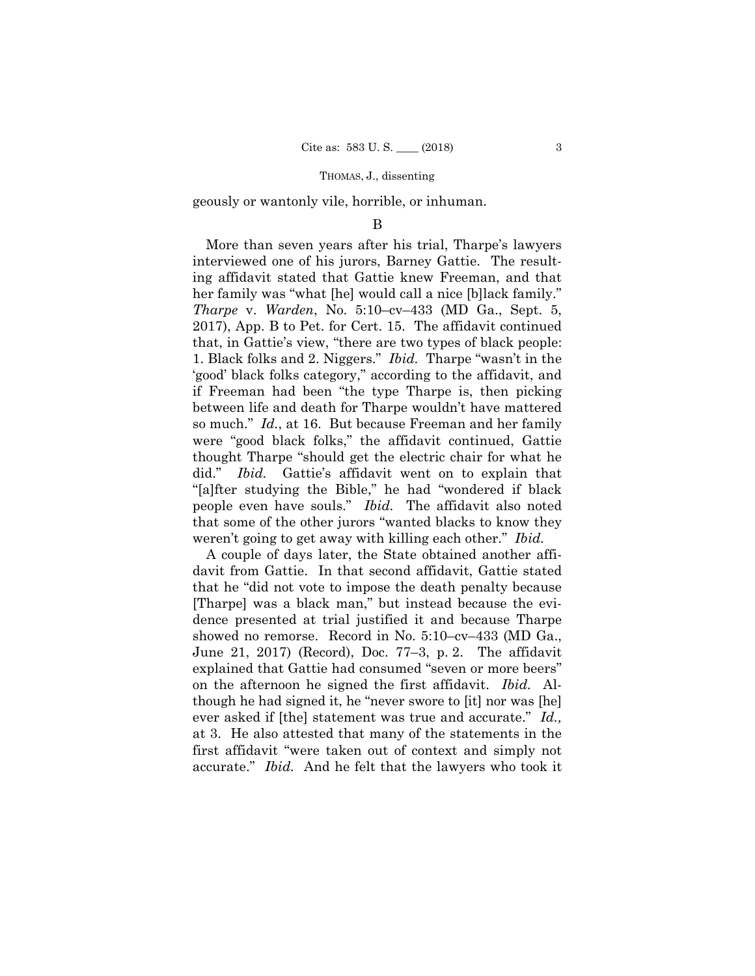geously or wantonly vile, horrible, or inhuman.

### B

 so much." *Id.*, at 16. But because Freeman and her family More than seven years after his trial, Tharpe's lawyers interviewed one of his jurors, Barney Gattie. The resulting affidavit stated that Gattie knew Freeman, and that her family was "what [he] would call a nice [b]lack family." *Tharpe* v. *Warden*, No. 5:10–cv–433 (MD Ga., Sept. 5, 2017), App. B to Pet. for Cert. 15. The affidavit continued that, in Gattie's view, "there are two types of black people: 1. Black folks and 2. Niggers." *Ibid.* Tharpe "wasn't in the 'good' black folks category," according to the affidavit, and if Freeman had been "the type Tharpe is, then picking between life and death for Tharpe wouldn't have mattered were "good black folks," the affidavit continued, Gattie thought Tharpe "should get the electric chair for what he did." *Ibid.* Gattie's affidavit went on to explain that "[a]fter studying the Bible," he had "wondered if black people even have souls." *Ibid.* The affidavit also noted that some of the other jurors "wanted blacks to know they weren't going to get away with killing each other." *Ibid.* 

A couple of days later, the State obtained another affidavit from Gattie. In that second affidavit, Gattie stated that he "did not vote to impose the death penalty because [Tharpe] was a black man," but instead because the evidence presented at trial justified it and because Tharpe showed no remorse. Record in No. 5:10–cv–433 (MD Ga., June 21, 2017) (Record), Doc. 77–3, p. 2. The affidavit explained that Gattie had consumed "seven or more beers" on the afternoon he signed the first affidavit. *Ibid.* Although he had signed it, he "never swore to [it] nor was [he] ever asked if [the] statement was true and accurate." *Id.,*  at 3. He also attested that many of the statements in the first affidavit "were taken out of context and simply not accurate." *Ibid.* And he felt that the lawyers who took it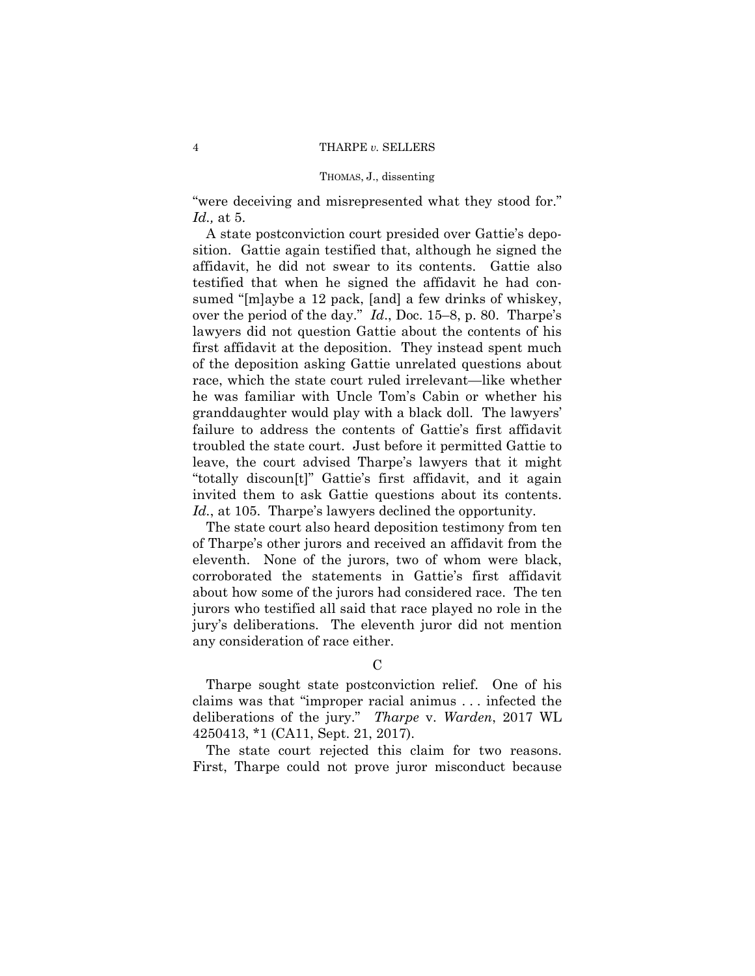#### THOMAS, J., dissenting

"were deceiving and misrepresented what they stood for." *Id.,* at 5.

A state postconviction court presided over Gattie's deposition. Gattie again testified that, although he signed the affidavit, he did not swear to its contents. Gattie also testified that when he signed the affidavit he had consumed "[m]aybe a 12 pack, [and] a few drinks of whiskey, over the period of the day." *Id*., Doc. 15–8, p. 80. Tharpe's lawyers did not question Gattie about the contents of his first affidavit at the deposition. They instead spent much of the deposition asking Gattie unrelated questions about race, which the state court ruled irrelevant—like whether he was familiar with Uncle Tom's Cabin or whether his granddaughter would play with a black doll. The lawyers' failure to address the contents of Gattie's first affidavit troubled the state court. Just before it permitted Gattie to leave, the court advised Tharpe's lawyers that it might "totally discoun[t]" Gattie's first affidavit, and it again invited them to ask Gattie questions about its contents. *Id.*, at 105. Tharpe's lawyers declined the opportunity.

The state court also heard deposition testimony from ten of Tharpe's other jurors and received an affidavit from the eleventh. None of the jurors, two of whom were black, corroborated the statements in Gattie's first affidavit about how some of the jurors had considered race. The ten jurors who testified all said that race played no role in the jury's deliberations. The eleventh juror did not mention any consideration of race either.

 $\mathcal{C}$ 

 Tharpe sought state postconviction relief. One of his claims was that "improper racial animus . . . infected the deliberations of the jury." *Tharpe* v. *Warden*, 2017 WL 4250413, \*1 (CA11, Sept. 21, 2017).

The state court rejected this claim for two reasons. First, Tharpe could not prove juror misconduct because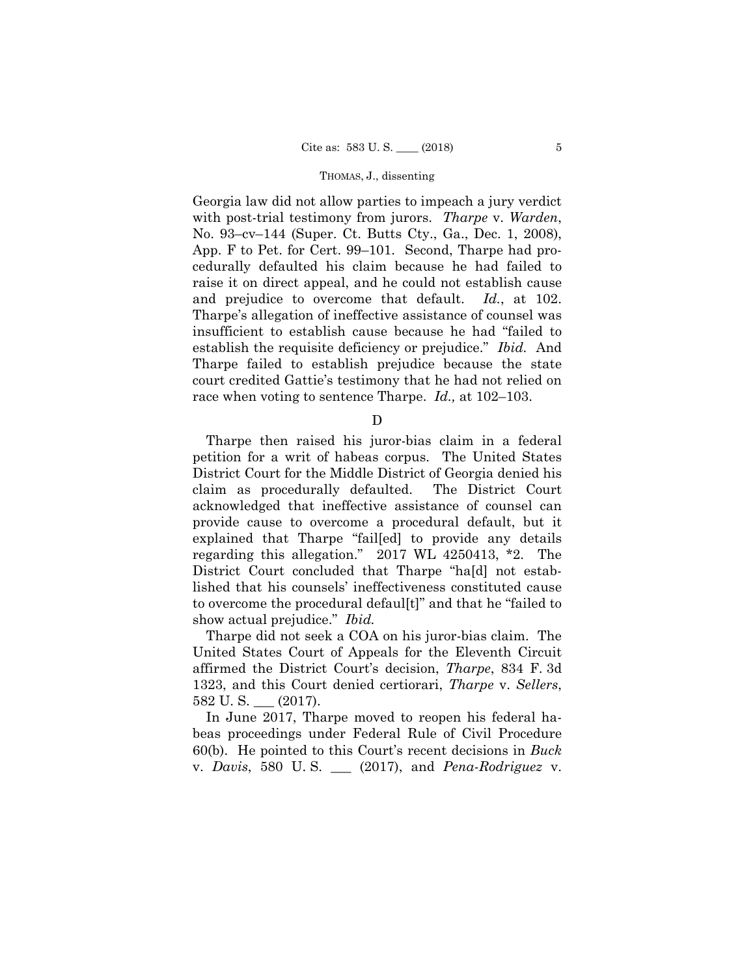Georgia law did not allow parties to impeach a jury verdict with post-trial testimony from jurors. *Tharpe* v. *Warden*, No. 93–cv–144 (Super. Ct. Butts Cty., Ga., Dec. 1, 2008), App. F to Pet. for Cert. 99–101. Second, Tharpe had procedurally defaulted his claim because he had failed to raise it on direct appeal, and he could not establish cause and prejudice to overcome that default. *Id.*, at 102. Tharpe's allegation of ineffective assistance of counsel was insufficient to establish cause because he had "failed to establish the requisite deficiency or prejudice." *Ibid.* And Tharpe failed to establish prejudice because the state court credited Gattie's testimony that he had not relied on race when voting to sentence Tharpe. *Id.,* at 102–103.

D

Tharpe then raised his juror-bias claim in a federal petition for a writ of habeas corpus. The United States District Court for the Middle District of Georgia denied his claim as procedurally defaulted. The District Court acknowledged that ineffective assistance of counsel can provide cause to overcome a procedural default, but it explained that Tharpe "fail[ed] to provide any details regarding this allegation." 2017 WL 4250413, \*2. The District Court concluded that Tharpe "ha[d] not established that his counsels' ineffectiveness constituted cause to overcome the procedural defaul[t]" and that he "failed to show actual prejudice." *Ibid.* 

Tharpe did not seek a COA on his juror-bias claim. The United States Court of Appeals for the Eleventh Circuit affirmed the District Court's decision, *Tharpe*, 834 F. 3d 1323, and this Court denied certiorari, *Tharpe* v. *Sellers*, 582 U.S. (2017).

In June 2017, Tharpe moved to reopen his federal habeas proceedings under Federal Rule of Civil Procedure 60(b). He pointed to this Court's recent decisions in *Buck*  v. *Davis*, 580 U. S. \_\_\_ (2017), and *Pena-Rodriguez* v.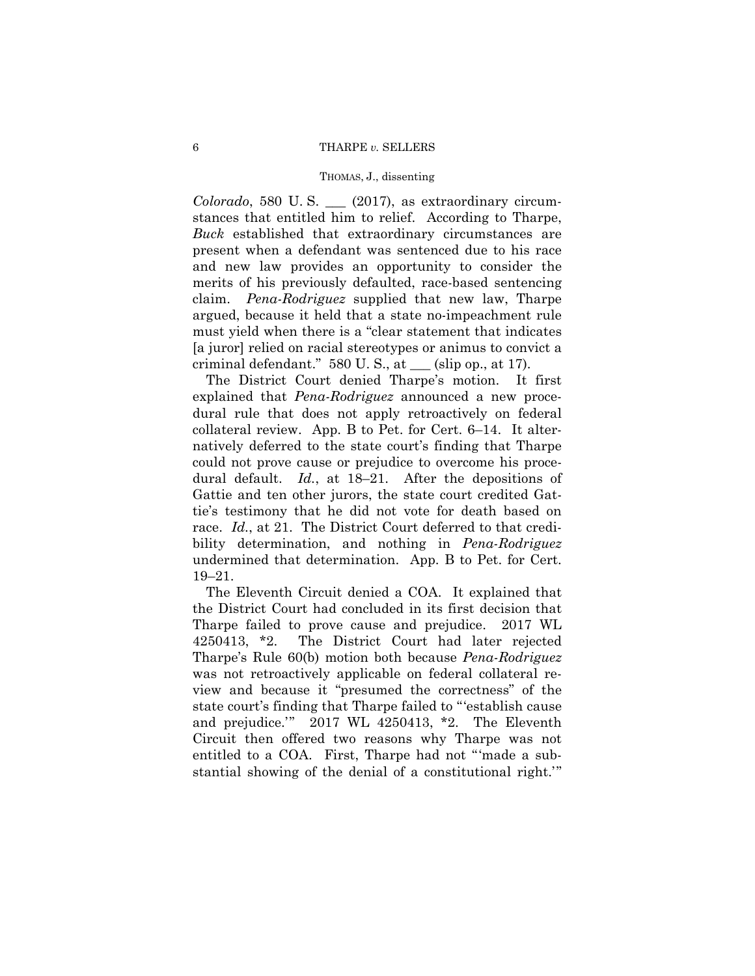#### THOMAS, J., dissenting

*Colorado*, 580 U. S. \_\_\_ (2017), as extraordinary circumstances that entitled him to relief. According to Tharpe, *Buck* established that extraordinary circumstances are present when a defendant was sentenced due to his race and new law provides an opportunity to consider the merits of his previously defaulted, race-based sentencing claim. *Pena-Rodriguez* supplied that new law, Tharpe argued, because it held that a state no-impeachment rule must yield when there is a "clear statement that indicates [a juror] relied on racial stereotypes or animus to convict a criminal defendant."  $580$  U. S., at  $\_\_\_$  (slip op., at 17).

The District Court denied Tharpe's motion. It first explained that *Pena-Rodriguez* announced a new procedural rule that does not apply retroactively on federal collateral review. App. B to Pet. for Cert. 6–14. It alternatively deferred to the state court's finding that Tharpe could not prove cause or prejudice to overcome his procedural default. *Id.*, at 18–21. After the depositions of Gattie and ten other jurors, the state court credited Gattie's testimony that he did not vote for death based on race. *Id.*, at 21. The District Court deferred to that credibility determination, and nothing in *Pena-Rodriguez*  undermined that determination. App. B to Pet. for Cert. 19–21.

The Eleventh Circuit denied a COA. It explained that the District Court had concluded in its first decision that Tharpe failed to prove cause and prejudice. 2017 WL 4250413, \*2. The District Court had later rejected Tharpe's Rule 60(b) motion both because *Pena-Rodriguez* was not retroactively applicable on federal collateral review and because it "presumed the correctness" of the state court's finding that Tharpe failed to "'establish cause and prejudice.'" 2017 WL 4250413, \*2. The Eleventh Circuit then offered two reasons why Tharpe was not entitled to a COA. First, Tharpe had not "'made a substantial showing of the denial of a constitutional right.'"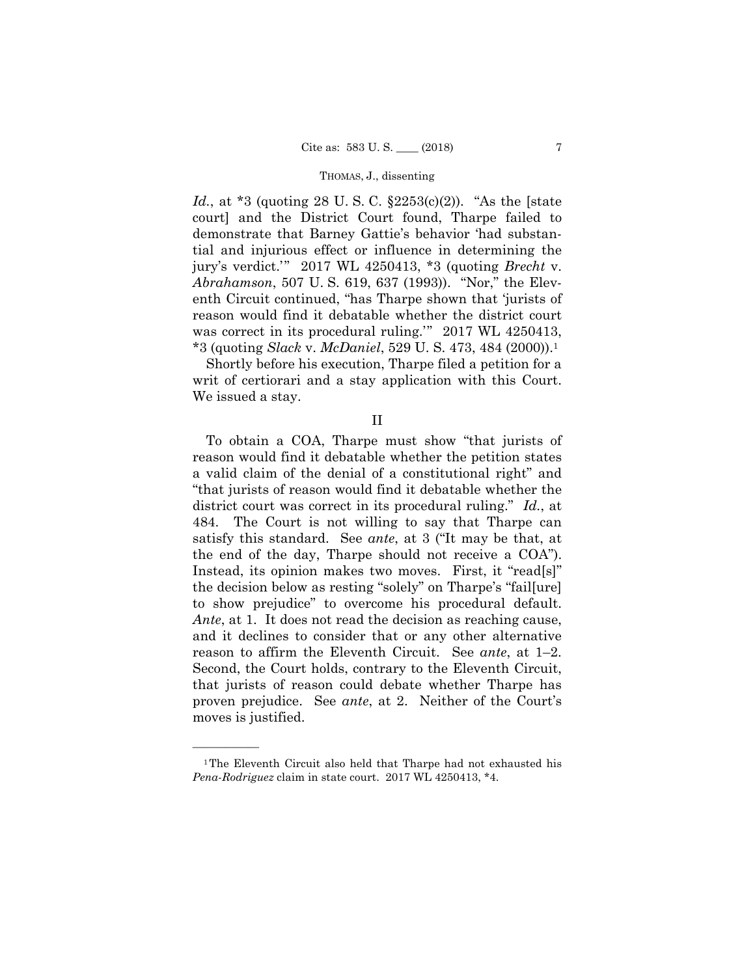*Id.*, at \*3 (quoting 28 U.S.C. §2253(c)(2)). "As the [state court] and the District Court found, Tharpe failed to demonstrate that Barney Gattie's behavior 'had substantial and injurious effect or influence in determining the jury's verdict.'" 2017 WL 4250413, \*3 (quoting *Brecht* v. *Abrahamson*, 507 U. S. 619, 637 (1993)). "Nor," the Eleventh Circuit continued, "has Tharpe shown that 'jurists of reason would find it debatable whether the district court was correct in its procedural ruling.'" 2017 WL 4250413, \*3 (quoting *Slack* v. *McDaniel*, 529 U. S. 473, 484 (2000)).1

Shortly before his execution, Tharpe filed a petition for a writ of certiorari and a stay application with this Court. We issued a stay.

## II

To obtain a COA, Tharpe must show "that jurists of reason would find it debatable whether the petition states a valid claim of the denial of a constitutional right" and "that jurists of reason would find it debatable whether the district court was correct in its procedural ruling." *Id.*, at 484. The Court is not willing to say that Tharpe can satisfy this standard. See *ante*, at 3 ("It may be that, at the end of the day, Tharpe should not receive a COA"). Instead, its opinion makes two moves. First, it "read[s]" the decision below as resting "solely" on Tharpe's "fail[ure] to show prejudice" to overcome his procedural default. *Ante*, at 1. It does not read the decision as reaching cause, and it declines to consider that or any other alternative reason to affirm the Eleventh Circuit. See *ante*, at 1–2. Second, the Court holds, contrary to the Eleventh Circuit, that jurists of reason could debate whether Tharpe has proven prejudice. See *ante*, at 2. Neither of the Court's moves is justified.

——————

<sup>1</sup>The Eleventh Circuit also held that Tharpe had not exhausted his *Pena-Rodriguez* claim in state court. 2017 WL 4250413, \*4.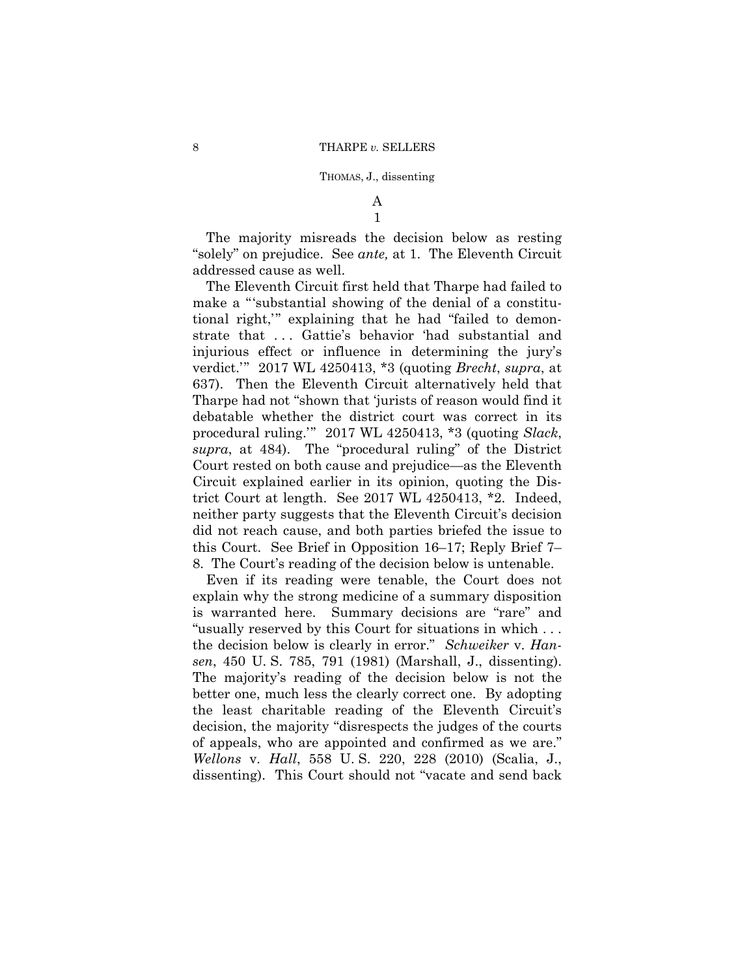A 1

The majority misreads the decision below as resting "solely" on prejudice. See *ante,* at 1. The Eleventh Circuit addressed cause as well.

The Eleventh Circuit first held that Tharpe had failed to make a "'substantial showing of the denial of a constitutional right,'" explaining that he had "failed to demonstrate that . . . Gattie's behavior 'had substantial and injurious effect or influence in determining the jury's verdict.'" 2017 WL 4250413, \*3 (quoting *Brecht*, *supra*, at 637). Then the Eleventh Circuit alternatively held that Tharpe had not "shown that 'jurists of reason would find it debatable whether the district court was correct in its procedural ruling.'" 2017 WL 4250413, \*3 (quoting *Slack*, *supra*, at 484). The "procedural ruling" of the District Court rested on both cause and prejudice—as the Eleventh Circuit explained earlier in its opinion, quoting the District Court at length. See 2017 WL 4250413, \*2. Indeed, neither party suggests that the Eleventh Circuit's decision did not reach cause, and both parties briefed the issue to this Court. See Brief in Opposition 16–17; Reply Brief 7– 8. The Court's reading of the decision below is untenable.

Even if its reading were tenable, the Court does not explain why the strong medicine of a summary disposition is warranted here. Summary decisions are "rare" and "usually reserved by this Court for situations in which . . . the decision below is clearly in error." *Schweiker* v. *Hansen*, 450 U. S. 785, 791 (1981) (Marshall, J., dissenting). The majority's reading of the decision below is not the better one, much less the clearly correct one. By adopting the least charitable reading of the Eleventh Circuit's decision, the majority "disrespects the judges of the courts of appeals, who are appointed and confirmed as we are." *Wellons* v. *Hall*, 558 U. S. 220, 228 (2010) (Scalia, J., dissenting). This Court should not "vacate and send back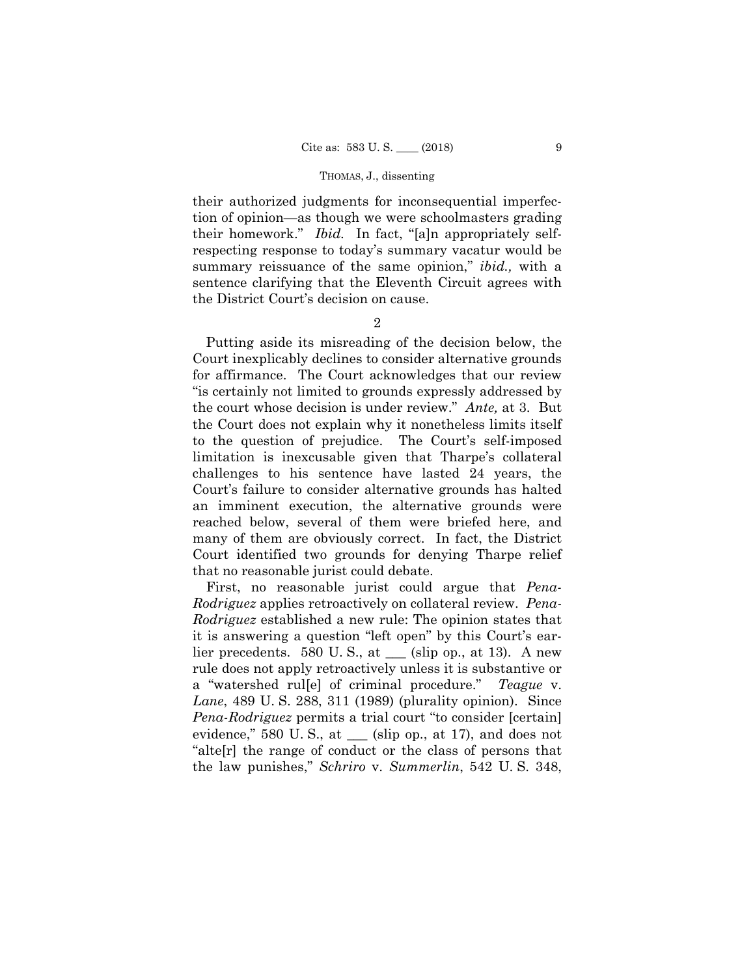their homework." *Ibid.* In fact, "[a]n appropriately selftheir authorized judgments for inconsequential imperfection of opinion—as though we were schoolmasters grading respecting response to today's summary vacatur would be summary reissuance of the same opinion," *ibid.,* with a sentence clarifying that the Eleventh Circuit agrees with the District Court's decision on cause.

2

Putting aside its misreading of the decision below, the Court inexplicably declines to consider alternative grounds for affirmance. The Court acknowledges that our review "is certainly not limited to grounds expressly addressed by the court whose decision is under review." *Ante,* at 3. But the Court does not explain why it nonetheless limits itself to the question of prejudice. The Court's self-imposed limitation is inexcusable given that Tharpe's collateral challenges to his sentence have lasted 24 years, the Court's failure to consider alternative grounds has halted an imminent execution, the alternative grounds were reached below, several of them were briefed here, and many of them are obviously correct. In fact, the District Court identified two grounds for denying Tharpe relief that no reasonable jurist could debate.

First, no reasonable jurist could argue that *Pena-Rodriguez* applies retroactively on collateral review. *Pena-Rodriguez* established a new rule: The opinion states that it is answering a question "left open" by this Court's earlier precedents.  $580 \text{ U.S., at }$  (slip op., at 13). A new rule does not apply retroactively unless it is substantive or a "watershed rul[e] of criminal procedure." *Teague* v. *Lane*, 489 U. S. 288, 311 (1989) (plurality opinion). Since *Pena-Rodriguez* permits a trial court "to consider [certain] evidence," 580 U. S., at \_\_\_ (slip op., at 17), and does not "alte[r] the range of conduct or the class of persons that the law punishes," *Schriro* v. *Summerlin*, 542 U. S. 348,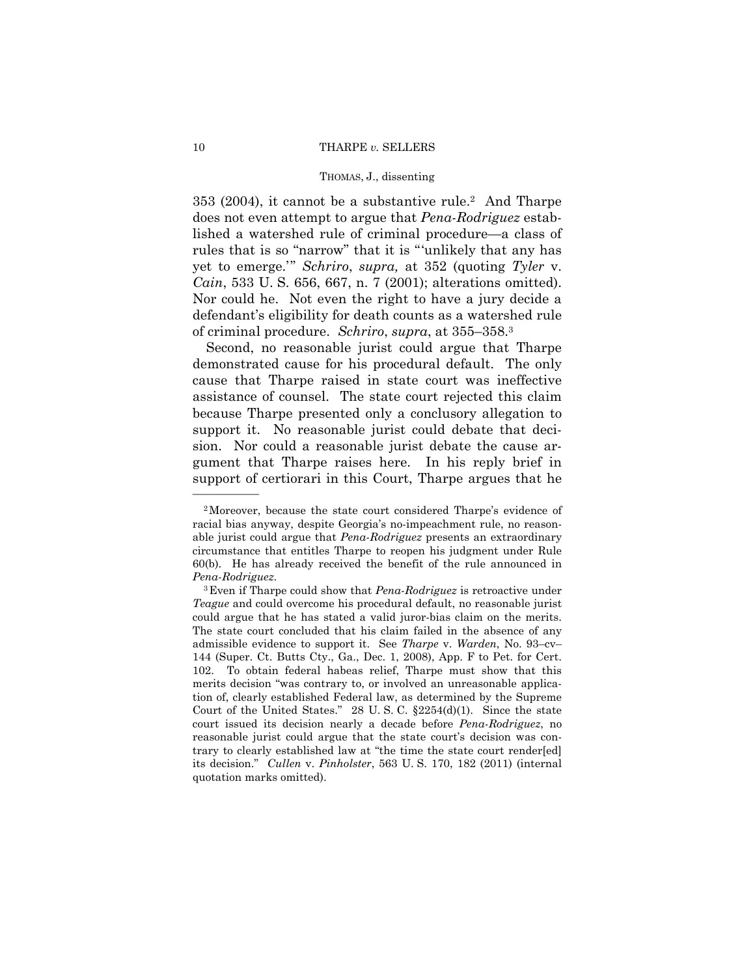#### THOMAS, J., dissenting

353 (2004), it cannot be a substantive rule.2 And Tharpe does not even attempt to argue that *Pena-Rodriguez* established a watershed rule of criminal procedure—a class of rules that is so "narrow" that it is "'unlikely that any has yet to emerge.'" *Schriro*, *supra,* at 352 (quoting *Tyler* v. *Cain*, 533 U. S. 656, 667, n. 7 (2001); alterations omitted). Nor could he. Not even the right to have a jury decide a defendant's eligibility for death counts as a watershed rule of criminal procedure. *Schriro*, *supra*, at 355–358.3

Second, no reasonable jurist could argue that Tharpe demonstrated cause for his procedural default. The only cause that Tharpe raised in state court was ineffective assistance of counsel. The state court rejected this claim because Tharpe presented only a conclusory allegation to support it. No reasonable jurist could debate that decision. Nor could a reasonable jurist debate the cause argument that Tharpe raises here. In his reply brief in support of certiorari in this Court, Tharpe argues that he

——————

<sup>2</sup>Moreover, because the state court considered Tharpe's evidence of racial bias anyway, despite Georgia's no-impeachment rule, no reasonable jurist could argue that *Pena-Rodriguez* presents an extraordinary circumstance that entitles Tharpe to reopen his judgment under Rule 60(b). He has already received the benefit of the rule announced in

 its decision." *Cullen* v. *Pinholster*, 563 U. S. 170, 182 (2011) (internal *Pena-Rodriguez*. 3Even if Tharpe could show that *Pena-Rodriguez* is retroactive under *Teague* and could overcome his procedural default, no reasonable jurist could argue that he has stated a valid juror-bias claim on the merits. The state court concluded that his claim failed in the absence of any admissible evidence to support it. See *Tharpe* v. *Warden*, No. 93–cv– 144 (Super. Ct. Butts Cty., Ga., Dec. 1, 2008), App. F to Pet. for Cert. 102. To obtain federal habeas relief, Tharpe must show that this merits decision "was contrary to, or involved an unreasonable application of, clearly established Federal law, as determined by the Supreme Court of the United States." 28 U. S. C. §2254(d)(1). Since the state court issued its decision nearly a decade before *Pena-Rodriguez*, no reasonable jurist could argue that the state court's decision was contrary to clearly established law at "the time the state court render[ed] quotation marks omitted).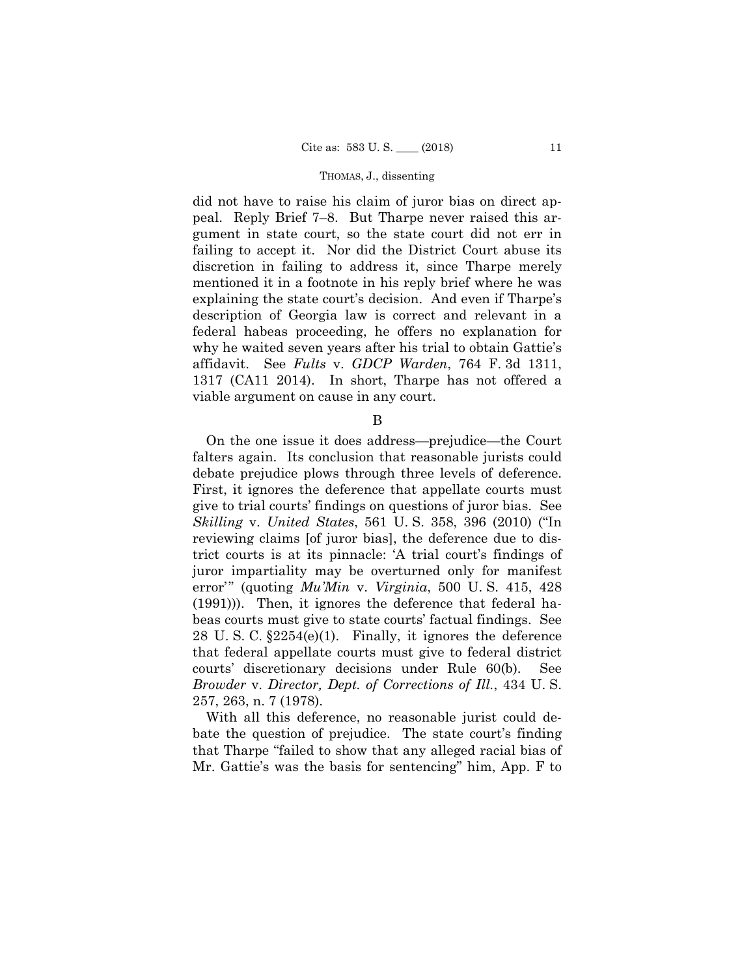did not have to raise his claim of juror bias on direct appeal. Reply Brief 7–8. But Tharpe never raised this argument in state court, so the state court did not err in failing to accept it. Nor did the District Court abuse its discretion in failing to address it, since Tharpe merely mentioned it in a footnote in his reply brief where he was explaining the state court's decision. And even if Tharpe's description of Georgia law is correct and relevant in a federal habeas proceeding, he offers no explanation for why he waited seven years after his trial to obtain Gattie's affidavit. See *Fults* v. *GDCP Warden*, 764 F. 3d 1311, 1317 (CA11 2014). In short, Tharpe has not offered a viable argument on cause in any court.

B

On the one issue it does address—prejudice—the Court falters again. Its conclusion that reasonable jurists could debate prejudice plows through three levels of deference. First, it ignores the deference that appellate courts must give to trial courts' findings on questions of juror bias. See *Skilling* v. *United States*, 561 U. S. 358, 396 (2010) ("In reviewing claims [of juror bias], the deference due to district courts is at its pinnacle: 'A trial court's findings of juror impartiality may be overturned only for manifest error'" (quoting *Mu'Min* v. *Virginia*, 500 U. S. 415, 428 (1991))). Then, it ignores the deference that federal habeas courts must give to state courts' factual findings. See 28 U. S. C. §2254(e)(1). Finally, it ignores the deference that federal appellate courts must give to federal district courts' discretionary decisions under Rule 60(b). See *Browder* v. *Director, Dept. of Corrections of Ill.*, 434 U. S. 257, 263, n. 7 (1978).

With all this deference, no reasonable jurist could debate the question of prejudice. The state court's finding that Tharpe "failed to show that any alleged racial bias of Mr. Gattie's was the basis for sentencing" him, App. F to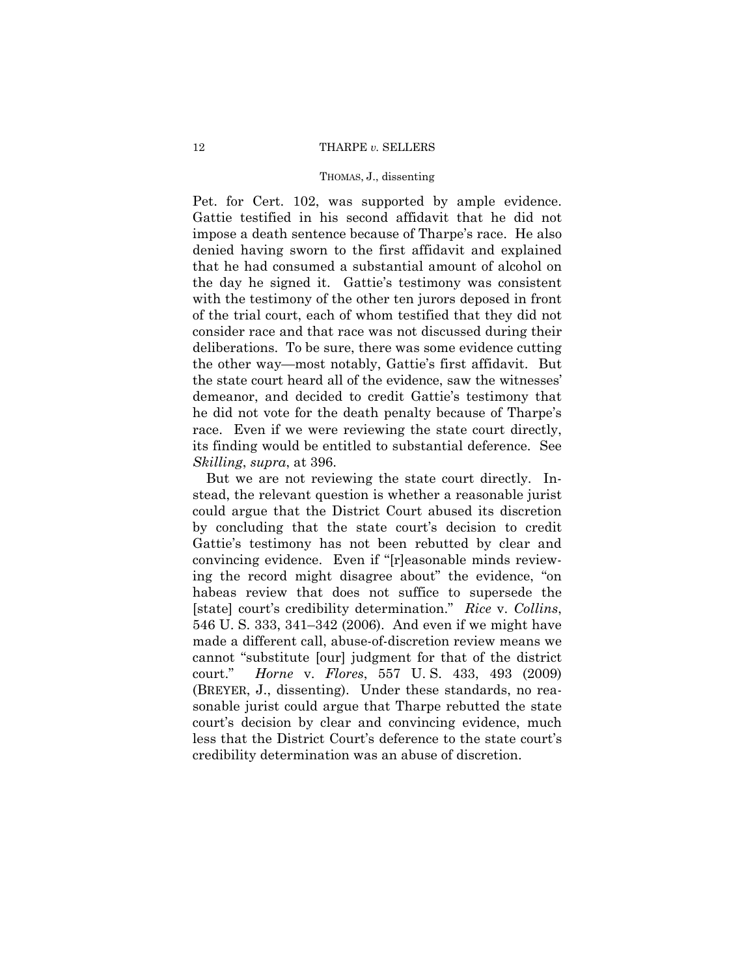#### THOMAS, J., dissenting

Pet. for Cert. 102, was supported by ample evidence. Gattie testified in his second affidavit that he did not impose a death sentence because of Tharpe's race. He also denied having sworn to the first affidavit and explained that he had consumed a substantial amount of alcohol on the day he signed it. Gattie's testimony was consistent with the testimony of the other ten jurors deposed in front of the trial court, each of whom testified that they did not consider race and that race was not discussed during their deliberations. To be sure, there was some evidence cutting the other way—most notably, Gattie's first affidavit. But the state court heard all of the evidence, saw the witnesses' demeanor, and decided to credit Gattie's testimony that he did not vote for the death penalty because of Tharpe's race. Even if we were reviewing the state court directly, its finding would be entitled to substantial deference. See *Skilling*, *supra*, at 396.

But we are not reviewing the state court directly. Instead, the relevant question is whether a reasonable jurist could argue that the District Court abused its discretion by concluding that the state court's decision to credit Gattie's testimony has not been rebutted by clear and convincing evidence. Even if "[r]easonable minds reviewing the record might disagree about" the evidence, "on habeas review that does not suffice to supersede the [state] court's credibility determination." *Rice* v. *Collins*, 546 U. S. 333, 341–342 (2006). And even if we might have made a different call, abuse-of-discretion review means we cannot "substitute [our] judgment for that of the district court." *Horne* v. *Flores*, 557 U. S. 433, 493 (2009) (BREYER, J., dissenting). Under these standards, no reasonable jurist could argue that Tharpe rebutted the state court's decision by clear and convincing evidence, much less that the District Court's deference to the state court's credibility determination was an abuse of discretion.